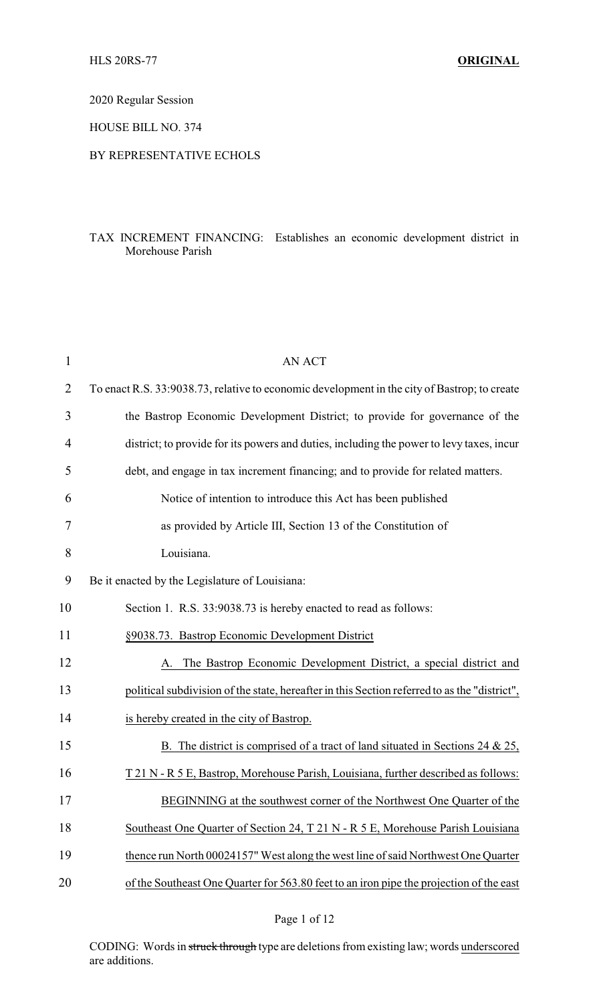2020 Regular Session

HOUSE BILL NO. 374

## BY REPRESENTATIVE ECHOLS

## TAX INCREMENT FINANCING: Establishes an economic development district in Morehouse Parish

| $\mathbf 1$    | <b>AN ACT</b>                                                                                |  |
|----------------|----------------------------------------------------------------------------------------------|--|
| $\overline{2}$ | To enact R.S. 33:9038.73, relative to economic development in the city of Bastrop; to create |  |
| 3              | the Bastrop Economic Development District; to provide for governance of the                  |  |
| 4              | district; to provide for its powers and duties, including the power to levy taxes, incur     |  |
| 5              | debt, and engage in tax increment financing; and to provide for related matters.             |  |
| 6              | Notice of intention to introduce this Act has been published                                 |  |
| 7              | as provided by Article III, Section 13 of the Constitution of                                |  |
| 8              | Louisiana.                                                                                   |  |
| 9              | Be it enacted by the Legislature of Louisiana:                                               |  |
| 10             | Section 1. R.S. 33:9038.73 is hereby enacted to read as follows:                             |  |
| 11             | §9038.73. Bastrop Economic Development District                                              |  |
| 12             | A. The Bastrop Economic Development District, a special district and                         |  |
| 13             | political subdivision of the state, hereafter in this Section referred to as the "district", |  |
| 14             | is hereby created in the city of Bastrop.                                                    |  |
| 15             | The district is comprised of a tract of land situated in Sections 24 $\&$ 25,<br>B.          |  |
| 16             | T 21 N - R 5 E, Bastrop, Morehouse Parish, Louisiana, further described as follows:          |  |
| 17             | BEGINNING at the southwest corner of the Northwest One Quarter of the                        |  |
| 18             | Southeast One Quarter of Section 24, T 21 N - R 5 E, Morehouse Parish Louisiana              |  |
| 19             | thence run North 00024157" West along the west line of said Northwest One Quarter            |  |
| 20             | of the Southeast One Quarter for 563.80 feet to an iron pipe the projection of the east      |  |
|                |                                                                                              |  |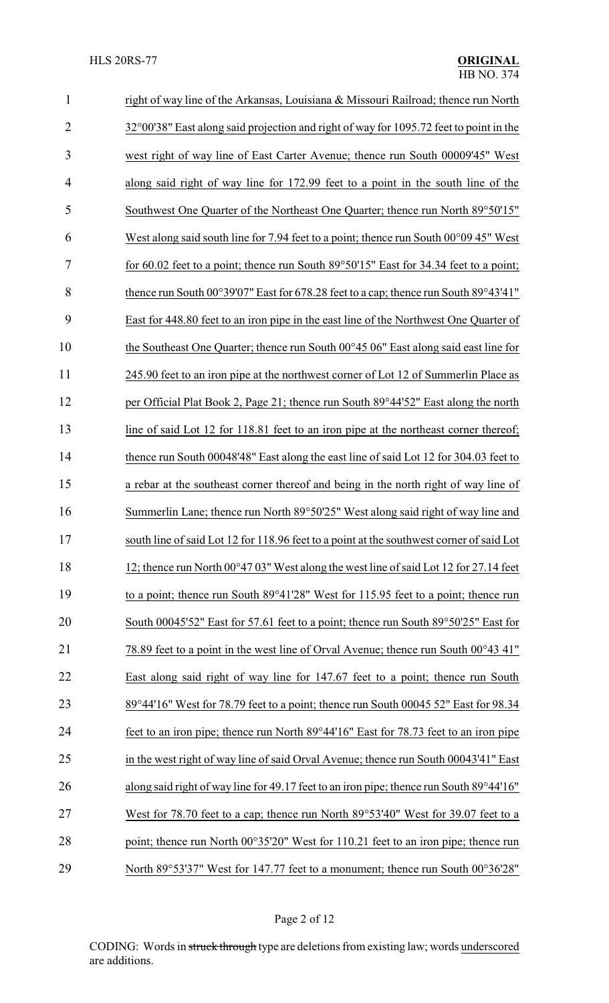| $\mathbf{1}$   | right of way line of the Arkansas, Louisiana & Missouri Railroad; thence run North                       |
|----------------|----------------------------------------------------------------------------------------------------------|
| $\overline{2}$ | 32°00'38" East along said projection and right of way for 1095.72 feet to point in the                   |
| 3              | west right of way line of East Carter Avenue; thence run South 00009'45" West                            |
| 4              | along said right of way line for 172.99 feet to a point in the south line of the                         |
| 5              | Southwest One Quarter of the Northeast One Quarter; thence run North 89°50'15"                           |
| 6              | West along said south line for 7.94 feet to a point; thence run South $00^{\circ}0945$ " West            |
| 7              | for 60.02 feet to a point; thence run South $89^{\circ}50'15''$ East for 34.34 feet to a point;          |
| 8              | thence run South $00^{\circ}39'07''$ East for 678.28 feet to a cap; thence run South $89^{\circ}43'41''$ |
| 9              | East for 448.80 feet to an iron pipe in the east line of the Northwest One Quarter of                    |
| 10             | the Southeast One Quarter; thence run South 00°45 06" East along said east line for                      |
| 11             | 245.90 feet to an iron pipe at the northwest corner of Lot 12 of Summerlin Place as                      |
| 12             | per Official Plat Book 2, Page 21; thence run South 89°44'52" East along the north                       |
| 13             | line of said Lot 12 for 118.81 feet to an iron pipe at the northeast corner thereof;                     |
| 14             | thence run South 00048'48" East along the east line of said Lot 12 for 304.03 feet to                    |
| 15             | a rebar at the southeast corner thereof and being in the north right of way line of                      |
| 16             | Summerlin Lane; thence run North 89°50'25" West along said right of way line and                         |
| 17             | south line of said Lot 12 for 118.96 feet to a point at the southwest corner of said Lot                 |
| 18             | 12; thence run North 00°47 03" West along the west line of said Lot 12 for 27.14 feet                    |
| 19             | to a point; thence run South 89°41'28" West for 115.95 feet to a point; thence run                       |
| 20             | South 00045'52" East for 57.61 feet to a point; thence run South 89°50'25" East for                      |
| 21             | 78.89 feet to a point in the west line of Orval Avenue; thence run South 00°43 41"                       |
| 22             | East along said right of way line for 147.67 feet to a point; thence run South                           |
| 23             | 89°44'16" West for 78.79 feet to a point; thence run South 00045 52" East for 98.34                      |
| 24             | feet to an iron pipe; thence run North 89°44'16" East for 78.73 feet to an iron pipe                     |
| 25             | in the west right of way line of said Orval Avenue; thence run South 00043'41" East                      |
| 26             | along said right of way line for 49.17 feet to an iron pipe; thence run South 89°44'16"                  |
| 27             | West for 78.70 feet to a cap; thence run North 89°53'40" West for 39.07 feet to a                        |
| 28             | point; thence run North 00°35'20" West for 110.21 feet to an iron pipe; thence run                       |
| 29             | North 89°53'37" West for 147.77 feet to a monument; thence run South 00°36'28"                           |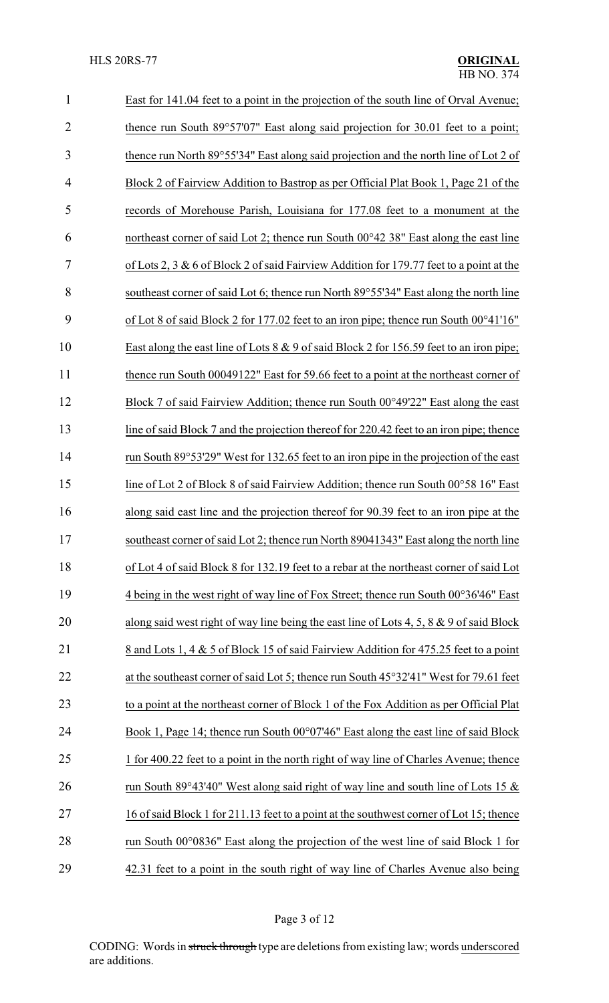| $\mathbf{1}$   | East for 141.04 feet to a point in the projection of the south line of Orval Avenue;        |
|----------------|---------------------------------------------------------------------------------------------|
| $\overline{2}$ | thence run South 89°57'07" East along said projection for 30.01 feet to a point;            |
| 3              | thence run North 89°55'34" East along said projection and the north line of Lot 2 of        |
| $\overline{4}$ | Block 2 of Fairview Addition to Bastrop as per Official Plat Book 1, Page 21 of the         |
| 5              | records of Morehouse Parish, Louisiana for 177.08 feet to a monument at the                 |
| 6              | northeast corner of said Lot 2; thence run South 00°42 38" East along the east line         |
| 7              | of Lots 2, 3 & 6 of Block 2 of said Fairview Addition for 179.77 feet to a point at the     |
| 8              | southeast corner of said Lot 6; thence run North 89°55'34" East along the north line        |
| 9              | of Lot 8 of said Block 2 for 177.02 feet to an iron pipe; thence run South 00°41'16"        |
| 10             | East along the east line of Lots $8 \& 9$ of said Block 2 for 156.59 feet to an iron pipe;  |
| 11             | thence run South 00049122" East for 59.66 feet to a point at the northeast corner of        |
| 12             | Block 7 of said Fairview Addition; thence run South 00°49'22" East along the east           |
| 13             | line of said Block 7 and the projection thereof for 220.42 feet to an iron pipe; thence     |
| 14             | run South 89°53'29" West for 132.65 feet to an iron pipe in the projection of the east      |
| 15             | line of Lot 2 of Block 8 of said Fairview Addition; thence run South 00°58 16" East         |
| 16             | along said east line and the projection thereof for 90.39 feet to an iron pipe at the       |
| 17             | southeast corner of said Lot 2; thence run North 89041343" East along the north line        |
| 18             | of Lot 4 of said Block 8 for 132.19 feet to a rebar at the northeast corner of said Lot     |
| 19             | 4 being in the west right of way line of Fox Street; thence run South 00°36'46" East        |
| 20             | along said west right of way line being the east line of Lots 4, 5, 8 $\&$ 9 of said Block  |
| 21             | 8 and Lots 1, 4 & 5 of Block 15 of said Fairview Addition for 475.25 feet to a point        |
| 22             | at the southeast corner of said Lot 5; thence run South 45°32'41" West for 79.61 feet       |
| 23             | to a point at the northeast corner of Block 1 of the Fox Addition as per Official Plat      |
| 24             | Book 1, Page 14; thence run South 00°07'46" East along the east line of said Block          |
| 25             | 1 for 400.22 feet to a point in the north right of way line of Charles Avenue; thence       |
| 26             | run South 89°43'40" West along said right of way line and south line of Lots 15 $\&$        |
| 27             | 16 of said Block 1 for 211.13 feet to a point at the southwest corner of Lot 15; thence     |
| 28             | run South $00^{\circ}0836$ " East along the projection of the west line of said Block 1 for |
| 29             | 42.31 feet to a point in the south right of way line of Charles Avenue also being           |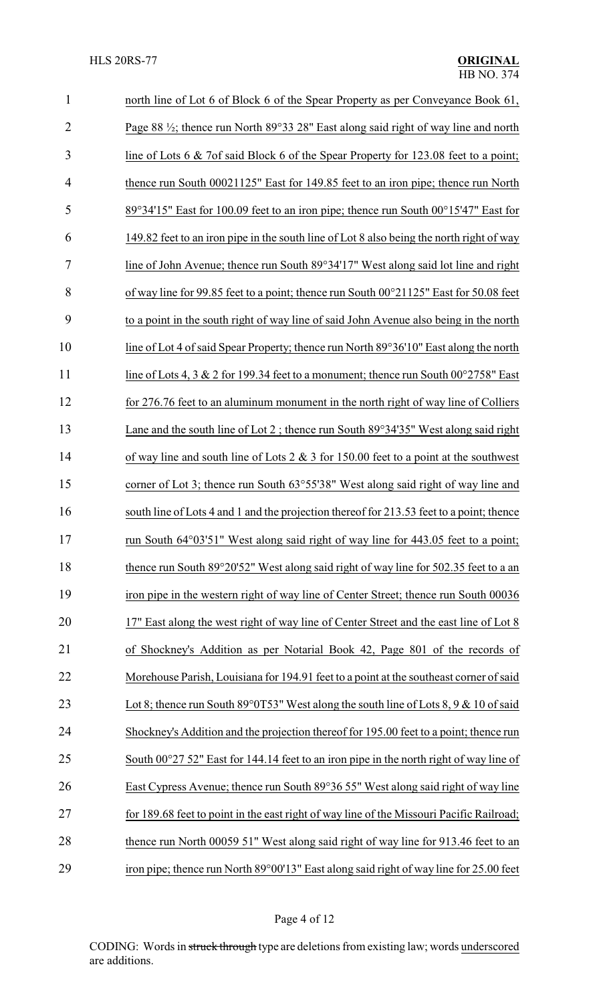| $\mathbf{1}$   | north line of Lot 6 of Block 6 of the Spear Property as per Conveyance Book 61,                |
|----------------|------------------------------------------------------------------------------------------------|
| $\overline{2}$ | Page 88 $\frac{1}{2}$ ; thence run North 89°33 28" East along said right of way line and north |
| 3              | line of Lots 6 & 7of said Block 6 of the Spear Property for 123.08 feet to a point;            |
| $\overline{4}$ | thence run South 00021125" East for 149.85 feet to an iron pipe; thence run North              |
| 5              | 89°34'15" East for 100.09 feet to an iron pipe; thence run South 00°15'47" East for            |
| 6              | 149.82 feet to an iron pipe in the south line of Lot 8 also being the north right of way       |
| 7              | line of John Avenue; thence run South 89°34'17" West along said lot line and right             |
| 8              | of way line for 99.85 feet to a point; thence run South 00°21125" East for 50.08 feet          |
| 9              | to a point in the south right of way line of said John Avenue also being in the north          |
| 10             | line of Lot 4 of said Spear Property; thence run North 89°36'10" East along the north          |
| 11             | line of Lots 4, 3 & 2 for 199.34 feet to a monument; thence run South $00^{\circ}2758$ " East  |
| 12             | for 276.76 feet to an aluminum monument in the north right of way line of Colliers             |
| 13             | Lane and the south line of Lot 2; thence run South $89^{\circ}34'35''$ West along said right   |
| 14             | of way line and south line of Lots $2 \& 3$ for 150.00 feet to a point at the southwest        |
| 15             | corner of Lot 3; thence run South 63°55'38" West along said right of way line and              |
| 16             | south line of Lots 4 and 1 and the projection thereof for 213.53 feet to a point; thence       |
| 17             | run South 64°03'51" West along said right of way line for 443.05 feet to a point;              |
| 18             | thence run South 89°20'52" West along said right of way line for 502.35 feet to a an           |
| 19             | iron pipe in the western right of way line of Center Street; thence run South 00036            |
| 20             | 17" East along the west right of way line of Center Street and the east line of Lot 8          |
| 21             | of Shockney's Addition as per Notarial Book 42, Page 801 of the records of                     |
| 22             | Morehouse Parish, Louisiana for 194.91 feet to a point at the southeast corner of said         |
| 23             | Lot 8; thence run South 89 $\degree$ 0T53" West along the south line of Lots 8, 9 & 10 of said |
| 24             | Shockney's Addition and the projection thereof for 195.00 feet to a point; thence run          |
| 25             | South 00°27 52" East for 144.14 feet to an iron pipe in the north right of way line of         |
| 26             | East Cypress Avenue; thence run South 89°36 55" West along said right of way line              |
| 27             | for 189.68 feet to point in the east right of way line of the Missouri Pacific Railroad;       |
| 28             | thence run North 00059 51" West along said right of way line for 913.46 feet to an             |
| 29             | iron pipe; thence run North 89°00'13" East along said right of way line for 25.00 feet         |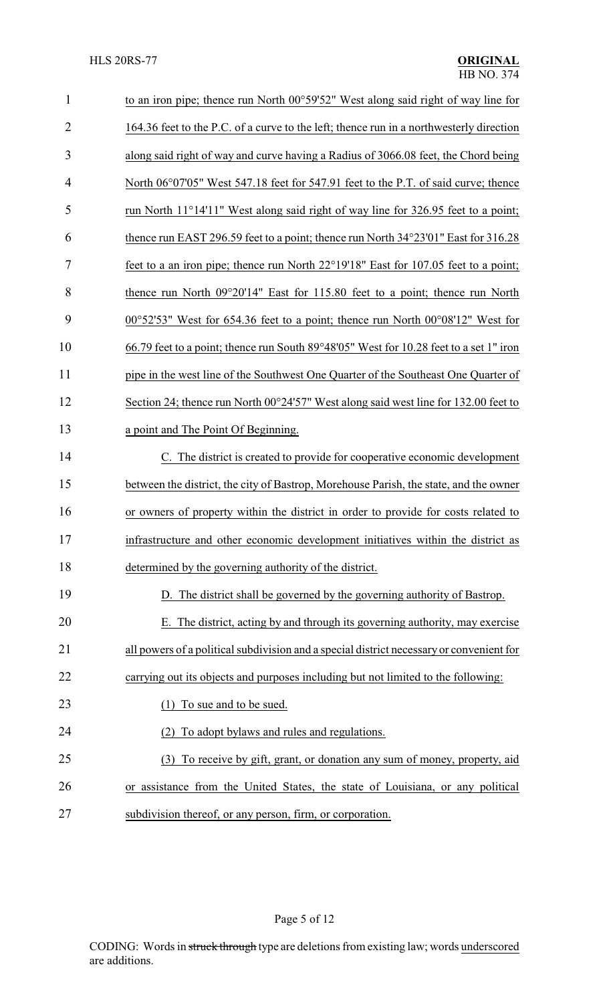| $\mathbf{1}$   | to an iron pipe; thence run North 00°59'52" West along said right of way line for                  |
|----------------|----------------------------------------------------------------------------------------------------|
| $\overline{2}$ | 164.36 feet to the P.C. of a curve to the left; thence run in a northwesterly direction            |
| 3              | along said right of way and curve having a Radius of 3066.08 feet, the Chord being                 |
| 4              | North 06°07'05" West 547.18 feet for 547.91 feet to the P.T. of said curve; thence                 |
| 5              | run North 11°14'11" West along said right of way line for 326.95 feet to a point;                  |
| 6              | thence run EAST 296.59 feet to a point; thence run North 34°23'01" East for 316.28                 |
| 7              | feet to a an iron pipe; thence run North 22°19'18" East for 107.05 feet to a point;                |
| 8              | thence run North 09°20'14" East for 115.80 feet to a point; thence run North                       |
| 9              | $00^{\circ}52'53''$ West for 654.36 feet to a point; thence run North $00^{\circ}08'12''$ West for |
| 10             | 66.79 feet to a point; thence run South 89°48′05" West for 10.28 feet to a set 1" iron             |
| 11             | pipe in the west line of the Southwest One Quarter of the Southeast One Quarter of                 |
| 12             | Section 24; thence run North 00°24'57" West along said west line for 132.00 feet to                |
| 13             | a point and The Point Of Beginning.                                                                |
| 14             | C. The district is created to provide for cooperative economic development                         |
| 15             | between the district, the city of Bastrop, Morehouse Parish, the state, and the owner              |
| 16             | or owners of property within the district in order to provide for costs related to                 |
| 17             | infrastructure and other economic development initiatives within the district as                   |
| 18             | determined by the governing authority of the district.                                             |
| 19             | D. The district shall be governed by the governing authority of Bastrop.                           |
| 20             | E. The district, acting by and through its governing authority, may exercise                       |
| 21             | all powers of a political subdivision and a special district necessary or convenient for           |
| 22             | carrying out its objects and purposes including but not limited to the following:                  |
| 23             | To sue and to be sued.                                                                             |
| 24             | To adopt bylaws and rules and regulations.                                                         |
| 25             | (3) To receive by gift, grant, or donation any sum of money, property, aid                         |
| 26             | or assistance from the United States, the state of Louisiana, or any political                     |
| 27             | subdivision thereof, or any person, firm, or corporation.                                          |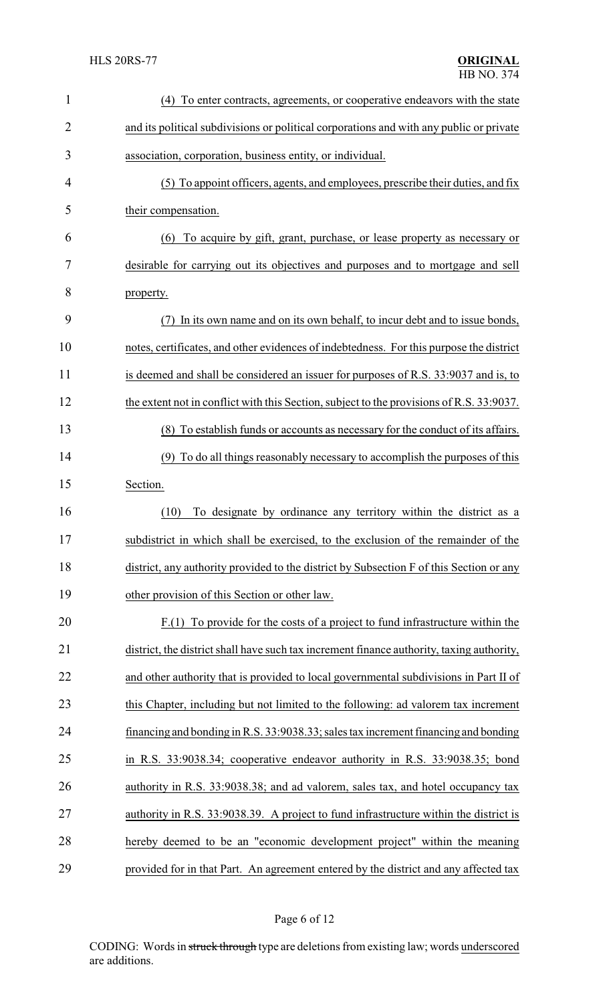| $\mathbf{1}$   | To enter contracts, agreements, or cooperative endeavors with the state<br>(4)            |  |
|----------------|-------------------------------------------------------------------------------------------|--|
| $\overline{2}$ | and its political subdivisions or political corporations and with any public or private   |  |
| 3              | association, corporation, business entity, or individual.                                 |  |
| 4              | (5) To appoint officers, agents, and employees, prescribe their duties, and fix           |  |
| 5              | their compensation.                                                                       |  |
| 6              | To acquire by gift, grant, purchase, or lease property as necessary or<br>(6)             |  |
| 7              | desirable for carrying out its objectives and purposes and to mortgage and sell           |  |
| 8              | property.                                                                                 |  |
| 9              | In its own name and on its own behalf, to incur debt and to issue bonds,<br>(7)           |  |
| 10             | notes, certificates, and other evidences of indebtedness. For this purpose the district   |  |
| 11             | is deemed and shall be considered an issuer for purposes of R.S. 33:9037 and is, to       |  |
| 12             | the extent not in conflict with this Section, subject to the provisions of R.S. 33:9037.  |  |
| 13             | (8) To establish funds or accounts as necessary for the conduct of its affairs.           |  |
| 14             | (9) To do all things reasonably necessary to accomplish the purposes of this              |  |
| 15             | Section.                                                                                  |  |
| 16             | (10)<br>To designate by ordinance any territory within the district as a                  |  |
| 17             | subdistrict in which shall be exercised, to the exclusion of the remainder of the         |  |
| 18             | district, any authority provided to the district by Subsection F of this Section or any   |  |
| 19             | other provision of this Section or other law.                                             |  |
| 20             | $F(1)$ To provide for the costs of a project to fund infrastructure within the            |  |
| 21             | district, the district shall have such tax increment finance authority, taxing authority, |  |
| 22             | and other authority that is provided to local governmental subdivisions in Part II of     |  |
| 23             | this Chapter, including but not limited to the following: ad valorem tax increment        |  |
| 24             | financing and bonding in R.S. 33:9038.33; sales tax increment financing and bonding       |  |
| 25             | in R.S. 33:9038.34; cooperative endeavor authority in R.S. 33:9038.35; bond               |  |
| 26             | authority in R.S. 33:9038.38; and ad valorem, sales tax, and hotel occupancy tax          |  |
| 27             | authority in R.S. 33:9038.39. A project to fund infrastructure within the district is     |  |
| 28             | hereby deemed to be an "economic development project" within the meaning                  |  |
| 29             | provided for in that Part. An agreement entered by the district and any affected tax      |  |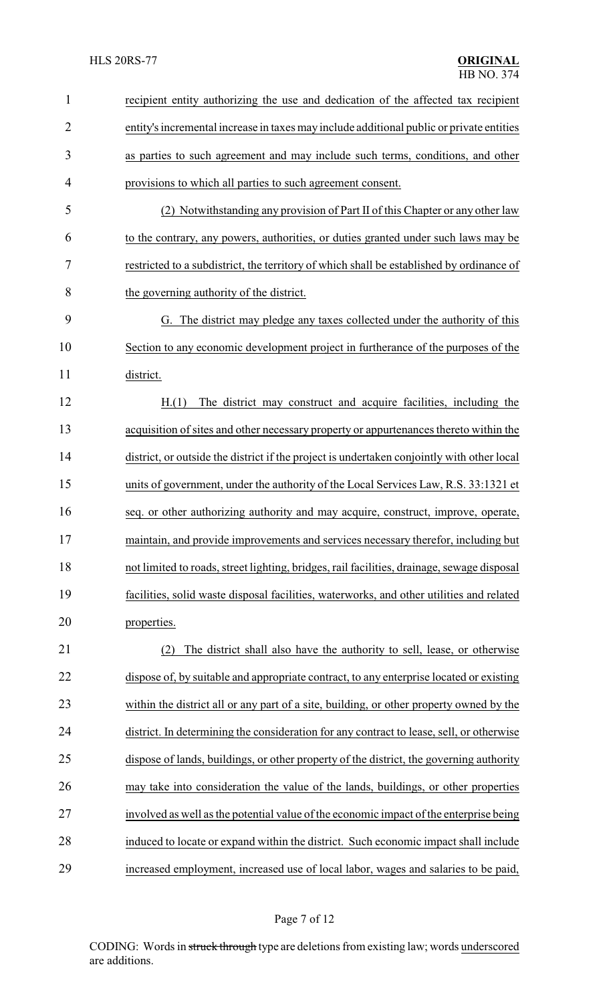| $\mathbf{1}$   | recipient entity authorizing the use and dedication of the affected tax recipient          |  |
|----------------|--------------------------------------------------------------------------------------------|--|
| $\overline{2}$ | entity's incremental increase in taxes may include additional public or private entities   |  |
| 3              | as parties to such agreement and may include such terms, conditions, and other             |  |
| 4              | provisions to which all parties to such agreement consent.                                 |  |
| 5              | (2) Notwithstanding any provision of Part II of this Chapter or any other law              |  |
| 6              | to the contrary, any powers, authorities, or duties granted under such laws may be         |  |
| 7              | restricted to a subdistrict, the territory of which shall be established by ordinance of   |  |
| 8              | the governing authority of the district.                                                   |  |
| 9              | The district may pledge any taxes collected under the authority of this<br>G.              |  |
| 10             | Section to any economic development project in furtherance of the purposes of the          |  |
| 11             | district.                                                                                  |  |
| 12             | The district may construct and acquire facilities, including the<br>H.(1)                  |  |
| 13             | acquisition of sites and other necessary property or appurtenances thereto within the      |  |
| 14             | district, or outside the district if the project is undertaken conjointly with other local |  |
| 15             | units of government, under the authority of the Local Services Law, R.S. 33:1321 et        |  |
| 16             | seq. or other authorizing authority and may acquire, construct, improve, operate,          |  |
| 17             | maintain, and provide improvements and services necessary therefor, including but          |  |
| 18             | not limited to roads, street lighting, bridges, rail facilities, drainage, sewage disposal |  |
| 19             | facilities, solid waste disposal facilities, waterworks, and other utilities and related   |  |
| 20             | properties.                                                                                |  |
| 21             | The district shall also have the authority to sell, lease, or otherwise<br>(2)             |  |
| 22             | dispose of, by suitable and appropriate contract, to any enterprise located or existing    |  |
| 23             | within the district all or any part of a site, building, or other property owned by the    |  |
| 24             | district. In determining the consideration for any contract to lease, sell, or otherwise   |  |
| 25             | dispose of lands, buildings, or other property of the district, the governing authority    |  |
| 26             | may take into consideration the value of the lands, buildings, or other properties         |  |
| 27             | involved as well as the potential value of the economic impact of the enterprise being     |  |
| 28             | induced to locate or expand within the district. Such economic impact shall include        |  |
| 29             | increased employment, increased use of local labor, wages and salaries to be paid,         |  |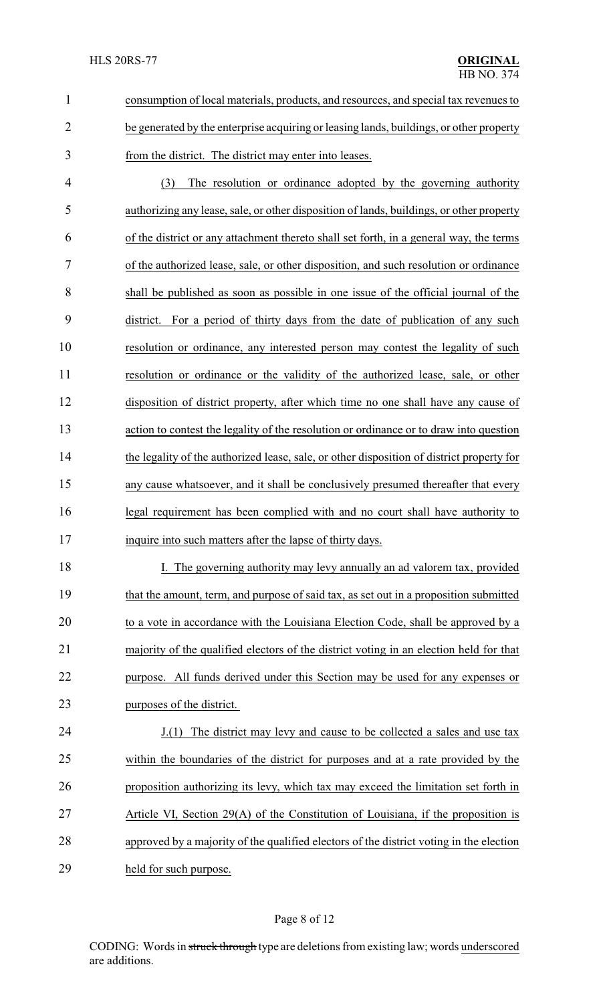| consumption of local materials, products, and resources, and special tax revenues to    |  |
|-----------------------------------------------------------------------------------------|--|
| be generated by the enterprise acquiring or leasing lands, buildings, or other property |  |
| from the district. The district may enter into leases.                                  |  |

 (3) The resolution or ordinance adopted by the governing authority authorizing any lease, sale, or other disposition of lands, buildings, or other property of the district or any attachment thereto shall set forth, in a general way, the terms of the authorized lease, sale, or other disposition, and such resolution or ordinance shall be published as soon as possible in one issue of the official journal of the district. For a period of thirty days from the date of publication of any such resolution or ordinance, any interested person may contest the legality of such resolution or ordinance or the validity of the authorized lease, sale, or other disposition of district property, after which time no one shall have any cause of action to contest the legality of the resolution or ordinance or to draw into question the legality of the authorized lease, sale, or other disposition of district property for any cause whatsoever, and it shall be conclusively presumed thereafter that every legal requirement has been complied with and no court shall have authority to inquire into such matters after the lapse of thirty days.

18 I. The governing authority may levy annually an ad valorem tax, provided that the amount, term, and purpose of said tax, as set out in a proposition submitted to a vote in accordance with the Louisiana Election Code, shall be approved by a majority of the qualified electors of the district voting in an election held for that purpose. All funds derived under this Section may be used for any expenses or purposes of the district.

 J.(1) The district may levy and cause to be collected a sales and use tax within the boundaries of the district for purposes and at a rate provided by the proposition authorizing its levy, which tax may exceed the limitation set forth in Article VI, Section 29(A) of the Constitution of Louisiana, if the proposition is approved by a majority of the qualified electors of the district voting in the election held for such purpose.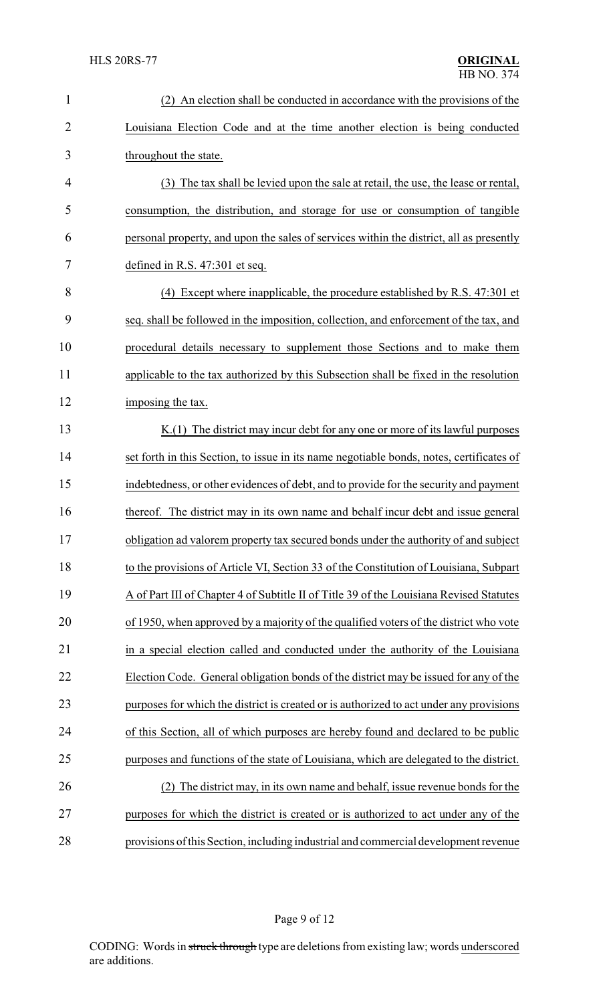| $\mathbf{1}$   | (2) An election shall be conducted in accordance with the provisions of the              |  |
|----------------|------------------------------------------------------------------------------------------|--|
| $\overline{2}$ | Louisiana Election Code and at the time another election is being conducted              |  |
| 3              | throughout the state.                                                                    |  |
| $\overline{4}$ | (3) The tax shall be levied upon the sale at retail, the use, the lease or rental,       |  |
| 5              | consumption, the distribution, and storage for use or consumption of tangible            |  |
| 6              | personal property, and upon the sales of services within the district, all as presently  |  |
| 7              | defined in R.S. $47:301$ et seq.                                                         |  |
| 8              | (4) Except where inapplicable, the procedure established by R.S. 47:301 et               |  |
| 9              | seq. shall be followed in the imposition, collection, and enforcement of the tax, and    |  |
| 10             | procedural details necessary to supplement those Sections and to make them               |  |
| 11             | applicable to the tax authorized by this Subsection shall be fixed in the resolution     |  |
| 12             | imposing the tax.                                                                        |  |
| 13             | $K(1)$ The district may incur debt for any one or more of its lawful purposes            |  |
| 14             | set forth in this Section, to issue in its name negotiable bonds, notes, certificates of |  |
| 15             | indebtedness, or other evidences of debt, and to provide for the security and payment    |  |
| 16             | thereof. The district may in its own name and behalf incur debt and issue general        |  |
| 17             | obligation ad valorem property tax secured bonds under the authority of and subject      |  |
| 18             | to the provisions of Article VI, Section 33 of the Constitution of Louisiana, Subpart    |  |
| 19             | A of Part III of Chapter 4 of Subtitle II of Title 39 of the Louisiana Revised Statutes  |  |
| 20             | of 1950, when approved by a majority of the qualified voters of the district who vote    |  |
| 21             | in a special election called and conducted under the authority of the Louisiana          |  |
| 22             | Election Code. General obligation bonds of the district may be issued for any of the     |  |
| 23             | purposes for which the district is created or is authorized to act under any provisions  |  |
| 24             | of this Section, all of which purposes are hereby found and declared to be public        |  |
| 25             | purposes and functions of the state of Louisiana, which are delegated to the district.   |  |
| 26             | (2) The district may, in its own name and behalf, issue revenue bonds for the            |  |
| 27             | purposes for which the district is created or is authorized to act under any of the      |  |
| 28             | provisions of this Section, including industrial and commercial development revenue      |  |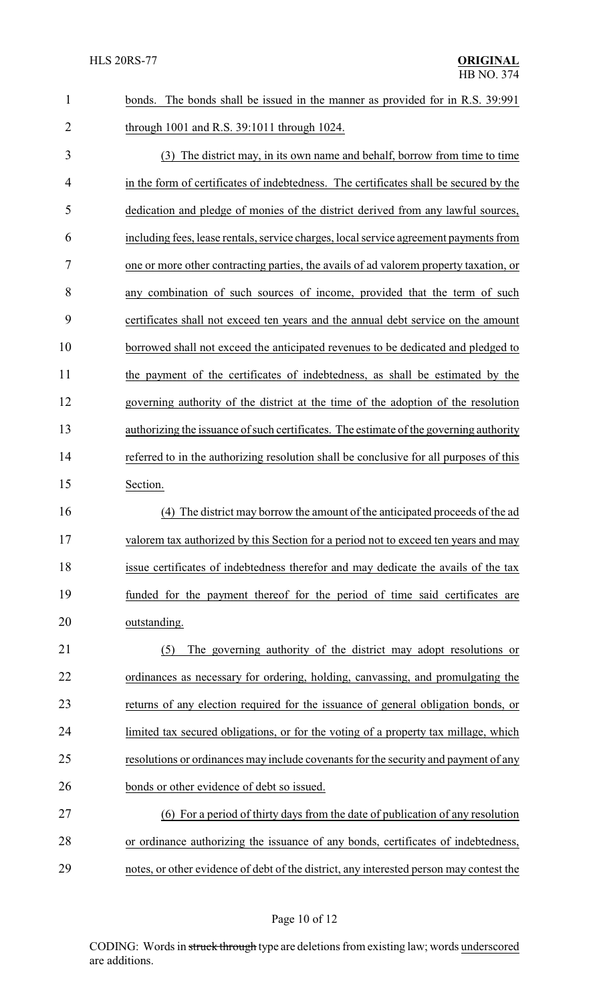| $\mathbf{1}$   | The bonds shall be issued in the manner as provided for in R.S. 39:991<br>bonds.        |  |
|----------------|-----------------------------------------------------------------------------------------|--|
| $\overline{2}$ | through 1001 and R.S. 39:1011 through 1024.                                             |  |
| 3              | (3) The district may, in its own name and behalf, borrow from time to time              |  |
| 4              | in the form of certificates of indebtedness. The certificates shall be secured by the   |  |
| 5              | dedication and pledge of monies of the district derived from any lawful sources,        |  |
| 6              | including fees, lease rentals, service charges, local service agreement payments from   |  |
| 7              | one or more other contracting parties, the avails of ad valorem property taxation, or   |  |
| 8              | any combination of such sources of income, provided that the term of such               |  |
| 9              | certificates shall not exceed ten years and the annual debt service on the amount       |  |
| 10             | borrowed shall not exceed the anticipated revenues to be dedicated and pledged to       |  |
| 11             | the payment of the certificates of indebtedness, as shall be estimated by the           |  |
| 12             | governing authority of the district at the time of the adoption of the resolution       |  |
| 13             | authorizing the issuance of such certificates. The estimate of the governing authority  |  |
| 14             | referred to in the authorizing resolution shall be conclusive for all purposes of this  |  |
| 15             | Section.                                                                                |  |
| 16             | The district may borrow the amount of the anticipated proceeds of the ad<br>(4)         |  |
| 17             | valorem tax authorized by this Section for a period not to exceed ten years and may     |  |
| 18             | issue certificates of indebtedness therefor and may dedicate the avails of the tax      |  |
| 19             | funded for the payment thereof for the period of time said certificates are             |  |
| 20             | outstanding.                                                                            |  |
| 21             | The governing authority of the district may adopt resolutions or<br>(5)                 |  |
| 22             | ordinances as necessary for ordering, holding, canvassing, and promulgating the         |  |
| 23             | returns of any election required for the issuance of general obligation bonds, or       |  |
| 24             | limited tax secured obligations, or for the voting of a property tax millage, which     |  |
| 25             | resolutions or ordinances may include covenants for the security and payment of any     |  |
| 26             | bonds or other evidence of debt so issued.                                              |  |
| 27             | (6) For a period of thirty days from the date of publication of any resolution          |  |
| 28             | or ordinance authorizing the issuance of any bonds, certificates of indebtedness,       |  |
| 29             | notes, or other evidence of debt of the district, any interested person may contest the |  |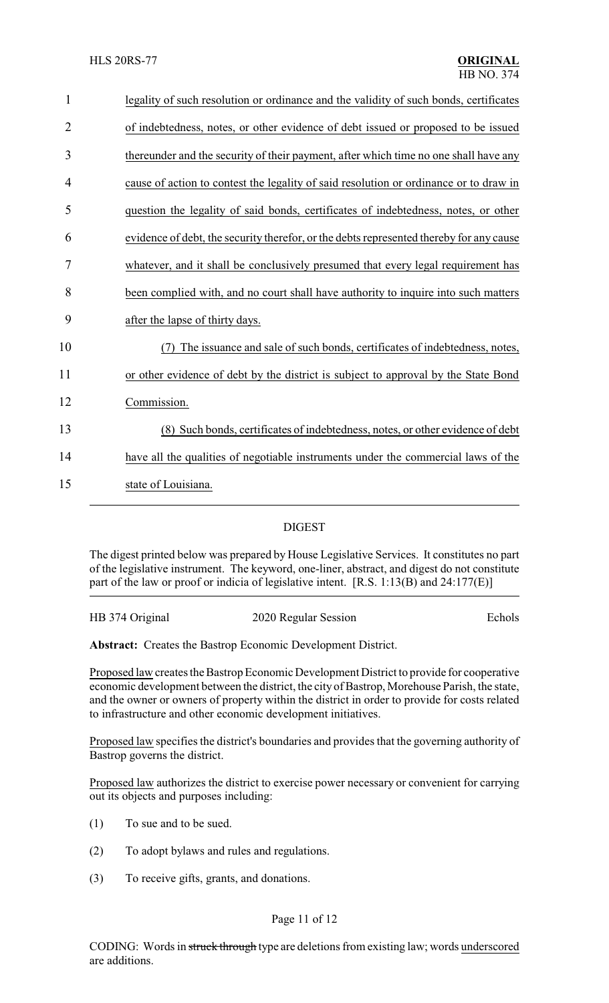| 1              | legality of such resolution or ordinance and the validity of such bonds, certificates   |
|----------------|-----------------------------------------------------------------------------------------|
| $\overline{2}$ | of indebtedness, notes, or other evidence of debt issued or proposed to be issued       |
| 3              | thereunder and the security of their payment, after which time no one shall have any    |
| 4              | cause of action to contest the legality of said resolution or ordinance or to draw in   |
| 5              | question the legality of said bonds, certificates of indebtedness, notes, or other      |
| 6              | evidence of debt, the security therefor, or the debts represented thereby for any cause |
| 7              | whatever, and it shall be conclusively presumed that every legal requirement has        |
| 8              | been complied with, and no court shall have authority to inquire into such matters      |
| 9              | after the lapse of thirty days.                                                         |
| 10             | The issuance and sale of such bonds, certificates of indebtedness, notes,               |
| 11             | or other evidence of debt by the district is subject to approval by the State Bond      |
| 12             | Commission.                                                                             |
| 13             | (8) Such bonds, certificates of indebtedness, notes, or other evidence of debt          |
| 14             | have all the qualities of negotiable instruments under the commercial laws of the       |
| 15             | state of Louisiana.                                                                     |
|                |                                                                                         |

## DIGEST

The digest printed below was prepared by House Legislative Services. It constitutes no part of the legislative instrument. The keyword, one-liner, abstract, and digest do not constitute part of the law or proof or indicia of legislative intent. [R.S. 1:13(B) and 24:177(E)]

| HB 374 Original | 2020 Regular Session | Echols |
|-----------------|----------------------|--------|
|                 |                      |        |

**Abstract:** Creates the Bastrop Economic Development District.

Proposed law creates the Bastrop Economic Development District to provide for cooperative economic development between the district, the city of Bastrop, Morehouse Parish, the state, and the owner or owners of property within the district in order to provide for costs related to infrastructure and other economic development initiatives.

Proposed law specifies the district's boundaries and provides that the governing authority of Bastrop governs the district.

Proposed law authorizes the district to exercise power necessary or convenient for carrying out its objects and purposes including:

- (1) To sue and to be sued.
- (2) To adopt bylaws and rules and regulations.
- (3) To receive gifts, grants, and donations.